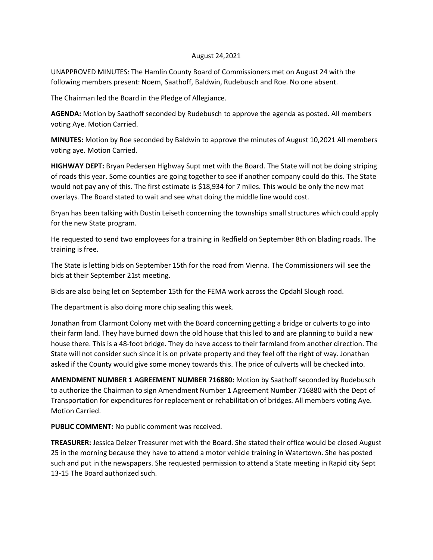## August 24,2021

UNAPPROVED MINUTES: The Hamlin County Board of Commissioners met on August 24 with the following members present: Noem, Saathoff, Baldwin, Rudebusch and Roe. No one absent.

The Chairman led the Board in the Pledge of Allegiance.

**AGENDA:** Motion by Saathoff seconded by Rudebusch to approve the agenda as posted. All members voting Aye. Motion Carried.

**MINUTES:** Motion by Roe seconded by Baldwin to approve the minutes of August 10,2021 All members voting aye. Motion Carried.

**HIGHWAY DEPT:** Bryan Pedersen Highway Supt met with the Board. The State will not be doing striping of roads this year. Some counties are going together to see if another company could do this. The State would not pay any of this. The first estimate is \$18,934 for 7 miles. This would be only the new mat overlays. The Board stated to wait and see what doing the middle line would cost.

Bryan has been talking with Dustin Leiseth concerning the townships small structures which could apply for the new State program.

He requested to send two employees for a training in Redfield on September 8th on blading roads. The training is free.

The State is letting bids on September 15th for the road from Vienna. The Commissioners will see the bids at their September 21st meeting.

Bids are also being let on September 15th for the FEMA work across the Opdahl Slough road.

The department is also doing more chip sealing this week.

Jonathan from Clarmont Colony met with the Board concerning getting a bridge or culverts to go into their farm land. They have burned down the old house that this led to and are planning to build a new house there. This is a 48-foot bridge. They do have access to their farmland from another direction. The State will not consider such since it is on private property and they feel off the right of way. Jonathan asked if the County would give some money towards this. The price of culverts will be checked into.

**AMENDMENT NUMBER 1 AGREEMENT NUMBER 716880:** Motion by Saathoff seconded by Rudebusch to authorize the Chairman to sign Amendment Number 1 Agreement Number 716880 with the Dept of Transportation for expenditures for replacement or rehabilitation of bridges. All members voting Aye. Motion Carried.

**PUBLIC COMMENT:** No public comment was received.

**TREASURER:** Jessica Delzer Treasurer met with the Board. She stated their office would be closed August 25 in the morning because they have to attend a motor vehicle training in Watertown. She has posted such and put in the newspapers. She requested permission to attend a State meeting in Rapid city Sept 13-15 The Board authorized such.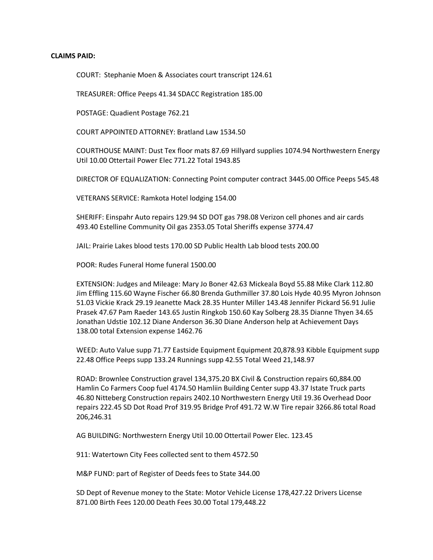## **CLAIMS PAID:**

COURT: Stephanie Moen & Associates court transcript 124.61

TREASURER: Office Peeps 41.34 SDACC Registration 185.00

POSTAGE: Quadient Postage 762.21

COURT APPOINTED ATTORNEY: Bratland Law 1534.50

COURTHOUSE MAINT: Dust Tex floor mats 87.69 Hillyard supplies 1074.94 Northwestern Energy Util 10.00 Ottertail Power Elec 771.22 Total 1943.85

DIRECTOR OF EQUALIZATION: Connecting Point computer contract 3445.00 Office Peeps 545.48

VETERANS SERVICE: Ramkota Hotel lodging 154.00

SHERIFF: Einspahr Auto repairs 129.94 SD DOT gas 798.08 Verizon cell phones and air cards 493.40 Estelline Community Oil gas 2353.05 Total Sheriffs expense 3774.47

JAIL: Prairie Lakes blood tests 170.00 SD Public Health Lab blood tests 200.00

POOR: Rudes Funeral Home funeral 1500.00

EXTENSION: Judges and Mileage: Mary Jo Boner 42.63 Mickeala Boyd 55.88 Mike Clark 112.80 Jim Effling 115.60 Wayne Fischer 66.80 Brenda Guthmiller 37.80 Lois Hyde 40.95 Myron Johnson 51.03 Vickie Krack 29.19 Jeanette Mack 28.35 Hunter Miller 143.48 Jennifer Pickard 56.91 Julie Prasek 47.67 Pam Raeder 143.65 Justin Ringkob 150.60 Kay Solberg 28.35 Dianne Thyen 34.65 Jonathan Udstie 102.12 Diane Anderson 36.30 Diane Anderson help at Achievement Days 138.00 total Extension expense 1462.76

WEED: Auto Value supp 71.77 Eastside Equipment Equipment 20,878.93 Kibble Equipment supp 22.48 Office Peeps supp 133.24 Runnings supp 42.55 Total Weed 21,148.97

ROAD: Brownlee Construction gravel 134,375.20 BX Civil & Construction repairs 60,884.00 Hamlin Co Farmers Coop fuel 4174.50 Hamliin Building Center supp 43.37 Istate Truck parts 46.80 Nitteberg Construction repairs 2402.10 Northwestern Energy Util 19.36 Overhead Door repairs 222.45 SD Dot Road Prof 319.95 Bridge Prof 491.72 W.W Tire repair 3266.86 total Road 206,246.31

AG BUILDING: Northwestern Energy Util 10.00 Ottertail Power Elec. 123.45

911: Watertown City Fees collected sent to them 4572.50

M&P FUND: part of Register of Deeds fees to State 344.00

SD Dept of Revenue money to the State: Motor Vehicle License 178,427.22 Drivers License 871.00 Birth Fees 120.00 Death Fees 30.00 Total 179,448.22